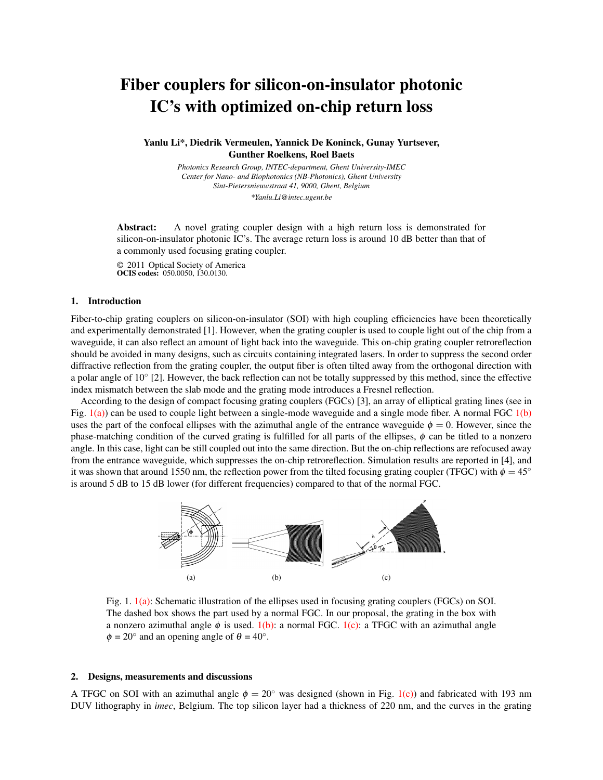# Fiber couplers for silicon-on-insulator photonic IC's with optimized on-chip return loss

Yanlu Li\*, Diedrik Vermeulen, Yannick De Koninck, Gunay Yurtsever, Gunther Roelkens, Roel Baets

> *Photonics Research Group, INTEC-department, Ghent University-IMEC Center for Nano- and Biophotonics (NB-Photonics), Ghent University Sint-Pietersnieuwstraat 41, 9000, Ghent, Belgium \*Yanlu.Li@intec.ugent.be*

Abstract: A novel grating coupler design with a high return loss is demonstrated for silicon-on-insulator photonic IC's. The average return loss is around 10 dB better than that of a commonly used focusing grating coupler.

© 2011 Optical Society of America OCIS codes: 050.0050, 130.0130.

### 1. Introduction

Fiber-to-chip grating couplers on silicon-on-insulator (SOI) with high coupling efficiencies have been theoretically and experimentally demonstrated [1]. However, when the grating coupler is used to couple light out of the chip from a waveguide, it can also reflect an amount of light back into the waveguide. This on-chip grating coupler retroreflection should be avoided in many designs, such as circuits containing integrated lasers. In order to suppress the second order diffractive reflection from the grating coupler, the output fiber is often tilted away from the orthogonal direction with a polar angle of 10° [2]. However, the back reflection can not be totally suppressed by this method, since the effective index mismatch between the slab mode and the grating mode introduces a Fresnel reflection.

According to the design of compact focusing grating couplers (FGCs) [3], an array of elliptical grating lines (see in Fig.  $1(a)$ ) can be used to couple light between a single-mode waveguide and a single mode fiber. A normal FGC  $1(b)$ uses the part of the confocal ellipses with the azimuthal angle of the entrance waveguide  $\phi = 0$ . However, since the phase-matching condition of the curved grating is fulfilled for all parts of the ellipses,  $\phi$  can be titled to a nonzero angle. In this case, light can be still coupled out into the same direction. But the on-chip reflections are refocused away from the entrance waveguide, which suppresses the on-chip retroreflection. Simulation results are reported in [4], and it was shown that around 1550 nm, the reflection power from the tilted focusing grating coupler (TFGC) with  $\phi = 45^\circ$ is around 5 dB to 15 dB lower (for different frequencies) compared to that of the normal FGC.



Fig. 1. 1(a): Schematic illustration of the ellipses used in focusing grating couplers (FGCs) on SOI. The dashed box shows the part used by a normal FGC. In our proposal, the grating in the box with a nonzero azimuthal angle  $\phi$  is used. 1(b): a normal FGC. 1(c): a TFGC with an azimuthal angle  $\phi = 20^\circ$  and an opening angle of  $\theta = 40^\circ$ .

#### 2. Designs, measurements and discussions

A TFGC on SOI with an azimuthal angle  $\phi = 20^\circ$  was designed (shown in Fig. 1(c)) and fabricated with 193 nm DUV lithography in *imec*, Belgium. The top silicon layer had a thickness of 220 nm, and the curves in the grating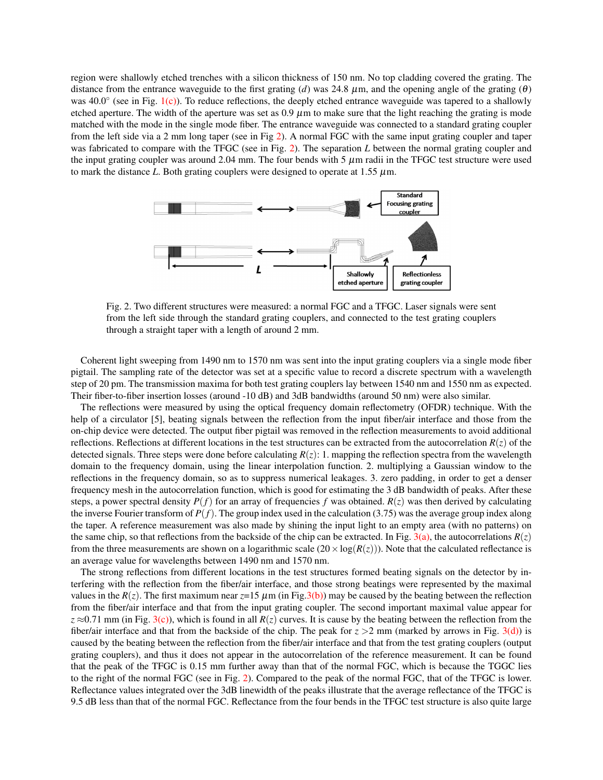region were shallowly etched trenches with a silicon thickness of 150 nm. No top cladding covered the grating. The distance from the entrance waveguide to the first grating (*d*) was 24.8  $\mu$ m, and the opening angle of the grating ( $\theta$ ) was 40.0° (see in Fig. 1(c)). To reduce reflections, the deeply etched entrance waveguide was tapered to a shallowly etched aperture. The width of the aperture was set as  $0.9 \mu$ m to make sure that the light reaching the grating is mode matched with the mode in the single mode fiber. The entrance waveguide was connected to a standard grating coupler from the left side via a 2 mm long taper (see in Fig 2). A normal FGC with the same input grating coupler and taper was fabricated to compare with the TFGC (see in Fig. 2). The separation *L* between the normal grating coupler and the input grating coupler was around 2.04 mm. The four bends with 5  $\mu$ m radii in the TFGC test structure were used to mark the distance *L*. Both grating couplers were designed to operate at 1.55  $\mu$ m.



Fig. 2. Two different structures were measured: a normal FGC and a TFGC. Laser signals were sent from the left side through the standard grating couplers, and connected to the test grating couplers through a straight taper with a length of around 2 mm.

Coherent light sweeping from 1490 nm to 1570 nm was sent into the input grating couplers via a single mode fiber pigtail. The sampling rate of the detector was set at a specific value to record a discrete spectrum with a wavelength step of 20 pm. The transmission maxima for both test grating couplers lay between 1540 nm and 1550 nm as expected. Their fiber-to-fiber insertion losses (around -10 dB) and 3dB bandwidths (around 50 nm) were also similar.

The reflections were measured by using the optical frequency domain reflectometry (OFDR) technique. With the help of a circulator [5], beating signals between the reflection from the input fiber/air interface and those from the on-chip device were detected. The output fiber pigtail was removed in the reflection measurements to avoid additional reflections. Reflections at different locations in the test structures can be extracted from the autocorrelation  $R(z)$  of the detected signals. Three steps were done before calculating  $R(z)$ : 1. mapping the reflection spectra from the wavelength domain to the frequency domain, using the linear interpolation function. 2. multiplying a Gaussian window to the reflections in the frequency domain, so as to suppress numerical leakages. 3. zero padding, in order to get a denser frequency mesh in the autocorrelation function, which is good for estimating the 3 dB bandwidth of peaks. After these steps, a power spectral density  $P(f)$  for an array of frequencies f was obtained.  $R(z)$  was then derived by calculating the inverse Fourier transform of  $P(f)$ . The group index used in the calculation (3.75) was the average group index along the taper. A reference measurement was also made by shining the input light to an empty area (with no patterns) on the same chip, so that reflections from the backside of the chip can be extracted. In Fig. 3(a), the autocorrelations  $R(z)$ from the three measurements are shown on a logarithmic scale  $(20 \times \log(R(z)))$ . Note that the calculated reflectance is an average value for wavelengths between 1490 nm and 1570 nm.

The strong reflections from different locations in the test structures formed beating signals on the detector by interfering with the reflection from the fiber/air interface, and those strong beatings were represented by the maximal values in the  $R(z)$ . The first maximum near  $z=15 \mu m$  (in Fig.3(b)) may be caused by the beating between the reflection from the fiber/air interface and that from the input grating coupler. The second important maximal value appear for  $z \approx 0.71$  mm (in Fig. 3(c)), which is found in all  $R(z)$  curves. It is cause by the beating between the reflection from the fiber/air interface and that from the backside of the chip. The peak for  $z > 2$  mm (marked by arrows in Fig. 3(d)) is caused by the beating between the reflection from the fiber/air interface and that from the test grating couplers (output grating couplers), and thus it does not appear in the autocorrelation of the reference measurement. It can be found that the peak of the TFGC is 0.15 mm further away than that of the normal FGC, which is because the TGGC lies to the right of the normal FGC (see in Fig. 2). Compared to the peak of the normal FGC, that of the TFGC is lower. Reflectance values integrated over the 3dB linewidth of the peaks illustrate that the average reflectance of the TFGC is 9.5 dB less than that of the normal FGC. Reflectance from the four bends in the TFGC test structure is also quite large